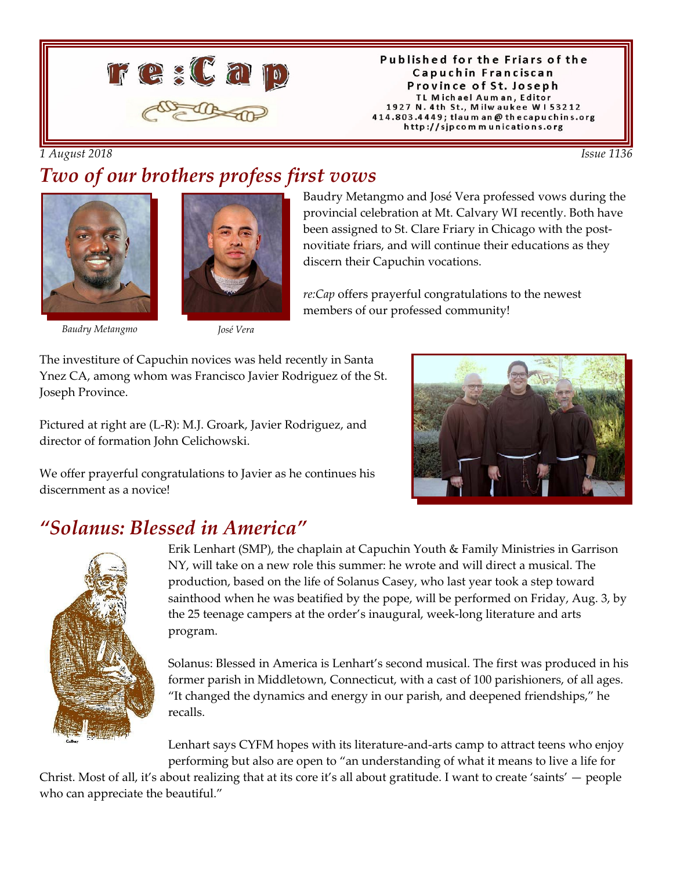

Published for the Friars of the Capuchin Franciscan Province of St. Joseph TL Michael Auman, Editor 1927 N. 4th St., Milwaukee W153212 414.803.4449; tlaum an @ thecapuchins.org http://sjpcommunications.org

#### *1 August 2018 Issue 1136*

#### *Two of our brothers profess first vows*





*Baudry Metangmo José Vera*

Baudry Metangmo and José Vera professed vows during the provincial celebration at Mt. Calvary WI recently. Both have been assigned to St. Clare Friary in Chicago with the postnovitiate friars, and will continue their educations as they discern their Capuchin vocations.

*re:Cap* offers prayerful congratulations to the newest members of our professed community!

The investiture of Capuchin novices was held recently in Santa Ynez CA, among whom was Francisco Javier Rodriguez of the St. Joseph Province.

Pictured at right are (L-R): M.J. Groark, Javier Rodriguez, and director of formation John Celichowski.



We offer prayerful congratulations to Javier as he continues his discernment as a novice!

## *"Solanus: Blessed in America"*



Erik Lenhart (SMP), the chaplain at Capuchin Youth & Family Ministries in Garrison NY, will take on a new role this summer: he wrote and will direct a musical. The production, based on the life of Solanus Casey, who last year took a step toward sainthood when he was beatified by the pope, will be performed on Friday, Aug. 3, by the 25 teenage campers at the order's inaugural, week-long literature and arts program.

Solanus: Blessed in America is Lenhart's second musical. The first was produced in his former parish in Middletown, Connecticut, with a cast of 100 parishioners, of all ages. "It changed the dynamics and energy in our parish, and deepened friendships," he recalls.

Lenhart says CYFM hopes with its literature-and-arts camp to attract teens who enjoy performing but also are open to "an understanding of what it means to live a life for

Christ. Most of all, it's about realizing that at its core it's all about gratitude. I want to create 'saints' — people who can appreciate the beautiful."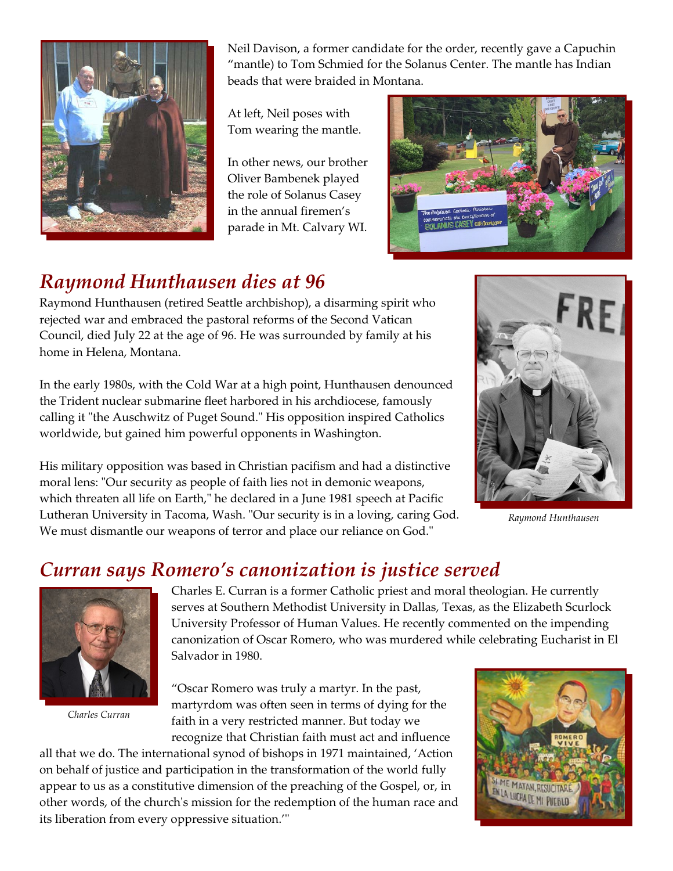

Neil Davison, a former candidate for the order, recently gave a Capuchin "mantle) to Tom Schmied for the Solanus Center. The mantle has Indian beads that were braided in Montana.

At left, Neil poses with Tom wearing the mantle.

In other news, our brother Oliver Bambenek played the role of Solanus Casey in the annual firemen's parade in Mt. Calvary WI.



# *Raymond Hunthausen dies at 96*

Raymond Hunthausen (retired Seattle archbishop), a disarming spirit who rejected war and embraced the pastoral reforms of the Second Vatican Council, died July 22 at the age of 96. He was surrounded by family at his home in Helena, Montana.

In the early 1980s, with the Cold War at a high point, Hunthausen denounced the Trident nuclear submarine fleet harbored in his archdiocese, famously calling it "the Auschwitz of Puget Sound." His opposition inspired Catholics worldwide, but gained him powerful opponents in Washington.

His military opposition was based in Christian pacifism and had a distinctive moral lens: "Our security as people of faith lies not in demonic weapons, which threaten all life on Earth," he declared in a June 1981 speech at Pacific Lutheran University in Tacoma, Wash. "Our security is in a loving, caring God. We must dismantle our weapons of terror and place our reliance on God."



*Raymond Hunthausen*

## *Curran says Romero's canonization is justice served*



*Charles Curran*

Charles E. Curran is a former Catholic priest and moral theologian. He currently serves at Southern Methodist University in Dallas, Texas, as the Elizabeth Scurlock University Professor of Human Values. He recently commented on the impending canonization of Oscar Romero, who was murdered while celebrating Eucharist in El Salvador in 1980.

"Oscar Romero was truly a martyr. In the past, martyrdom was often seen in terms of dying for the faith in a very restricted manner. But today we recognize that Christian faith must act and influence

all that we do. The international synod of bishops in 1971 maintained, 'Action on behalf of justice and participation in the transformation of the world fully appear to us as a constitutive dimension of the preaching of the Gospel, or, in other words, of the church's mission for the redemption of the human race and its liberation from every oppressive situation.'"

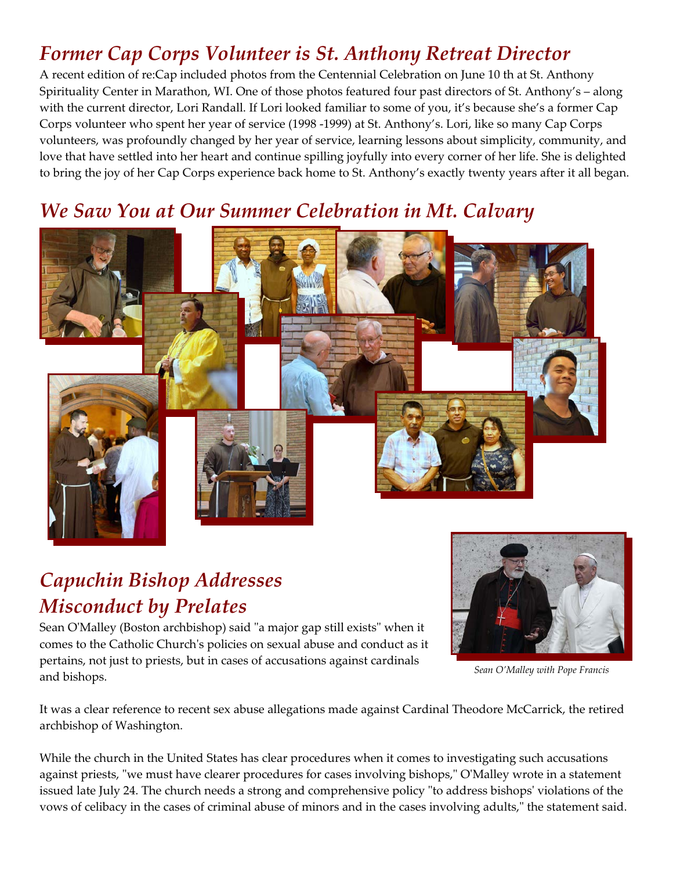# *Former Cap Corps Volunteer is St. Anthony Retreat Director*

A recent edition of re:Cap included photos from the Centennial Celebration on June 10 th at St. Anthony Spirituality Center in Marathon, WI. One of those photos featured four past directors of St. Anthony's – along with the current director, Lori Randall. If Lori looked familiar to some of you, it's because she's a former Cap Corps volunteer who spent her year of service (1998 -1999) at St. Anthony's. Lori, like so many Cap Corps volunteers, was profoundly changed by her year of service, learning lessons about simplicity, community, and love that have settled into her heart and continue spilling joyfully into every corner of her life. She is delighted to bring the joy of her Cap Corps experience back home to St. Anthony's exactly twenty years after it all began.

## *We Saw You at Our Summer Celebration in Mt. Calvary*



# *Capuchin Bishop Addresses Misconduct by Prelates*

Sean O'Malley (Boston archbishop) said "a major gap still exists" when it comes to the Catholic Church's policies on sexual abuse and conduct as it pertains, not just to priests, but in cases of accusations against cardinals and bishops.



*Sean O'Malley with Pope Francis*

It was a clear reference to recent sex abuse allegations made against Cardinal Theodore McCarrick, the retired archbishop of Washington.

While the church in the United States has clear procedures when it comes to investigating such accusations against priests, "we must have clearer procedures for cases involving bishops," O'Malley wrote in a statement issued late July 24. The church needs a strong and comprehensive policy "to address bishops' violations of the vows of celibacy in the cases of criminal abuse of minors and in the cases involving adults," the statement said.